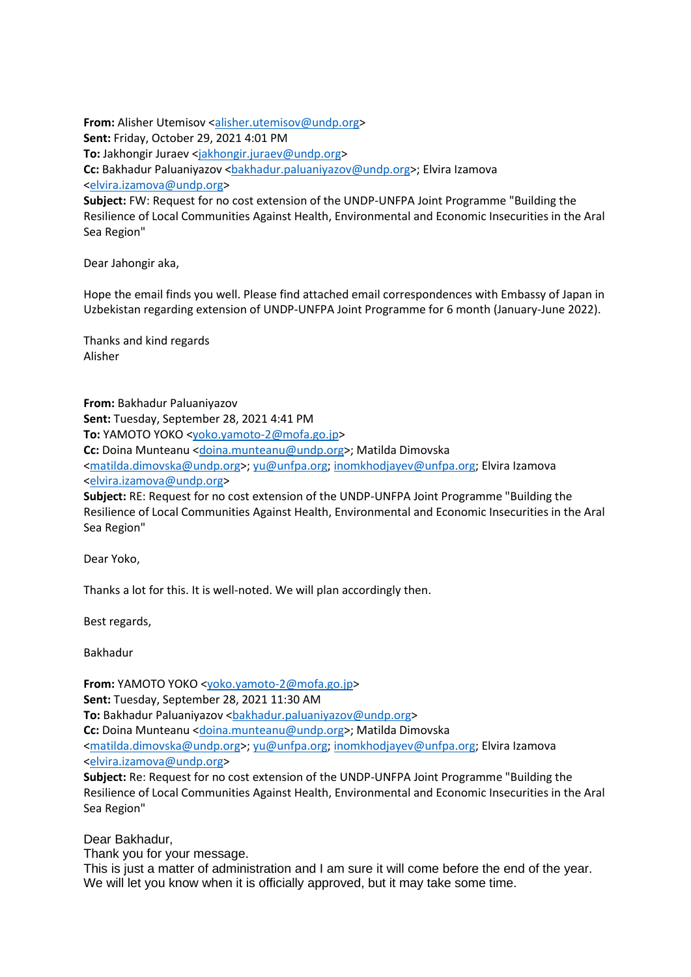**From:** Alisher Utemisov [<alisher.utemisov@undp.org>](mailto:alisher.utemisov@undp.org) **Sent:** Friday, October 29, 2021 4:01 PM To: Jakhongir Juraev [<jakhongir.juraev@undp.org>](mailto:jakhongir.juraev@undp.org) **Cc:** Bakhadur Paluaniyazov [<bakhadur.paluaniyazov@undp.org>](mailto:bakhadur.paluaniyazov@undp.org); Elvira Izamova [<elvira.izamova@undp.org>](mailto:elvira.izamova@undp.org) **Subject:** FW: Request for no cost extension of the UNDP-UNFPA Joint Programme "Building the Resilience of Local Communities Against Health, Environmental and Economic Insecurities in the Aral Sea Region"

Dear Jahongir aka,

Hope the email finds you well. Please find attached email correspondences with Embassy of Japan in Uzbekistan regarding extension of UNDP-UNFPA Joint Programme for 6 month (January-June 2022).

Thanks and kind regards Alisher

**From:** Bakhadur Paluaniyazov **Sent:** Tuesday, September 28, 2021 4:41 PM **To:** YAMOTO YOKO [<yoko.yamoto-2@mofa.go.jp>](mailto:yoko.yamoto-2@mofa.go.jp) Cc: Doina Munteanu [<doina.munteanu@undp.org>](mailto:doina.munteanu@undp.org); Matilda Dimovska [<matilda.dimovska@undp.org>](mailto:matilda.dimovska@undp.org); [yu@unfpa.org;](mailto:yu@unfpa.org) [inomkhodjayev@unfpa.org;](mailto:inomkhodjayev@unfpa.org) Elvira Izamova [<elvira.izamova@undp.org>](mailto:elvira.izamova@undp.org)

**Subject:** RE: Request for no cost extension of the UNDP-UNFPA Joint Programme "Building the Resilience of Local Communities Against Health, Environmental and Economic Insecurities in the Aral Sea Region"

Dear Yoko,

Thanks a lot for this. It is well-noted. We will plan accordingly then.

Best regards,

Bakhadur

**From:** YAMOTO YOKO [<yoko.yamoto-2@mofa.go.jp>](mailto:yoko.yamoto-2@mofa.go.jp) **Sent:** Tuesday, September 28, 2021 11:30 AM To: Bakhadur Paluaniyazov <br />
stakhadur.paluaniyazov@undp.org> **Cc:** Doina Munteanu [<doina.munteanu@undp.org>](mailto:doina.munteanu@undp.org); Matilda Dimovska [<matilda.dimovska@undp.org>](mailto:matilda.dimovska@undp.org); [yu@unfpa.org;](mailto:yu@unfpa.org) [inomkhodjayev@unfpa.org;](mailto:inomkhodjayev@unfpa.org) Elvira Izamova [<elvira.izamova@undp.org>](mailto:elvira.izamova@undp.org)

**Subject:** Re: Request for no cost extension of the UNDP-UNFPA Joint Programme "Building the Resilience of Local Communities Against Health, Environmental and Economic Insecurities in the Aral Sea Region"

Dear Bakhadur,

Thank you for your message.

This is just a matter of administration and I am sure it will come before the end of the year. We will let you know when it is officially approved, but it may take some time.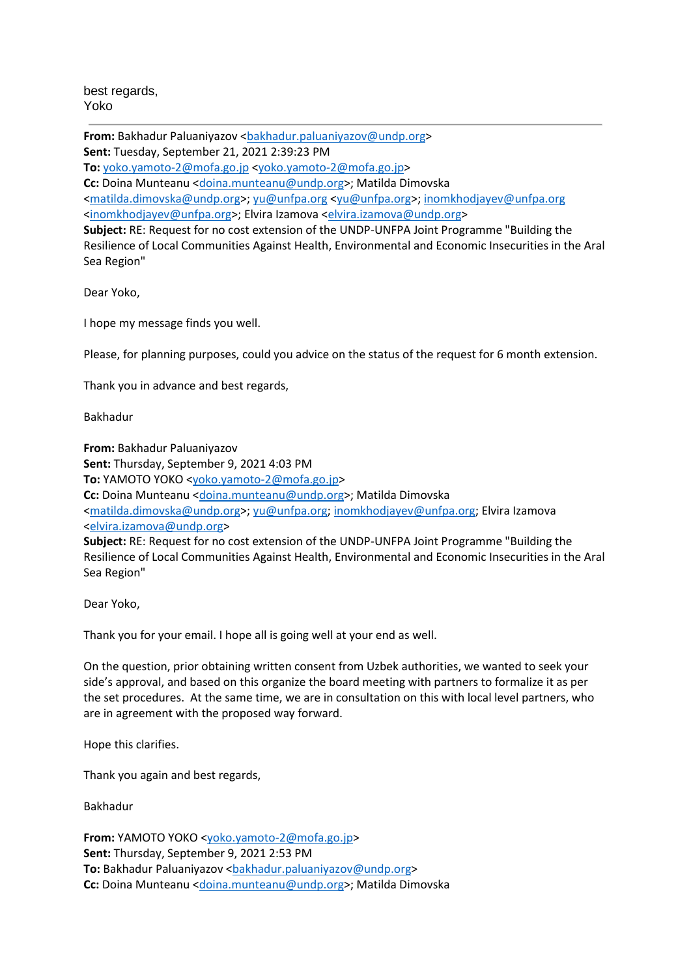best regards, Yoko

From: Bakhadur Paluaniyazov <br />
stakhadur.paluaniyazov@undp.org> **Sent:** Tuesday, September 21, 2021 2:39:23 PM **To:** [yoko.yamoto-2@mofa.go.jp](mailto:yoko.yamoto-2@mofa.go.jp) [<yoko.yamoto-2@mofa.go.jp>](mailto:yoko.yamoto-2@mofa.go.jp) Cc: Doina Munteanu [<doina.munteanu@undp.org>](mailto:doina.munteanu@undp.org); Matilda Dimovska [<matilda.dimovska@undp.org>](mailto:matilda.dimovska@undp.org); [yu@unfpa.org](mailto:yu@unfpa.org) [<yu@unfpa.org>](mailto:yu@unfpa.org); [inomkhodjayev@unfpa.org](mailto:inomkhodjayev@unfpa.org) [<inomkhodjayev@unfpa.org>](mailto:inomkhodjayev@unfpa.org); Elvira Izamova [<elvira.izamova@undp.org>](mailto:elvira.izamova@undp.org) **Subject:** RE: Request for no cost extension of the UNDP-UNFPA Joint Programme "Building the Resilience of Local Communities Against Health, Environmental and Economic Insecurities in the Aral Sea Region"

Dear Yoko,

I hope my message finds you well.

Please, for planning purposes, could you advice on the status of the request for 6 month extension.

Thank you in advance and best regards,

Bakhadur

**From:** Bakhadur Paluaniyazov **Sent:** Thursday, September 9, 2021 4:03 PM **To:** YAMOTO YOKO [<yoko.yamoto-2@mofa.go.jp>](mailto:yoko.yamoto-2@mofa.go.jp) **Cc:** Doina Munteanu [<doina.munteanu@undp.org>](mailto:doina.munteanu@undp.org); Matilda Dimovska [<matilda.dimovska@undp.org>](mailto:matilda.dimovska@undp.org); [yu@unfpa.org;](mailto:yu@unfpa.org) [inomkhodjayev@unfpa.org;](mailto:inomkhodjayev@unfpa.org) Elvira Izamova [<elvira.izamova@undp.org>](mailto:elvira.izamova@undp.org) **Subject:** RE: Request for no cost extension of the UNDP-UNFPA Joint Programme "Building the Resilience of Local Communities Against Health, Environmental and Economic Insecurities in the Aral Sea Region"

Dear Yoko,

Thank you for your email. I hope all is going well at your end as well.

On the question, prior obtaining written consent from Uzbek authorities, we wanted to seek your side's approval, and based on this organize the board meeting with partners to formalize it as per the set procedures. At the same time, we are in consultation on this with local level partners, who are in agreement with the proposed way forward.

Hope this clarifies.

Thank you again and best regards,

Bakhadur

**From:** YAMOTO YOKO [<yoko.yamoto-2@mofa.go.jp>](mailto:yoko.yamoto-2@mofa.go.jp) **Sent:** Thursday, September 9, 2021 2:53 PM To: Bakhadur Paluaniyazov <br />
stakhadur.paluaniyazov@undp.org> **Cc:** Doina Munteanu [<doina.munteanu@undp.org>](mailto:doina.munteanu@undp.org); Matilda Dimovska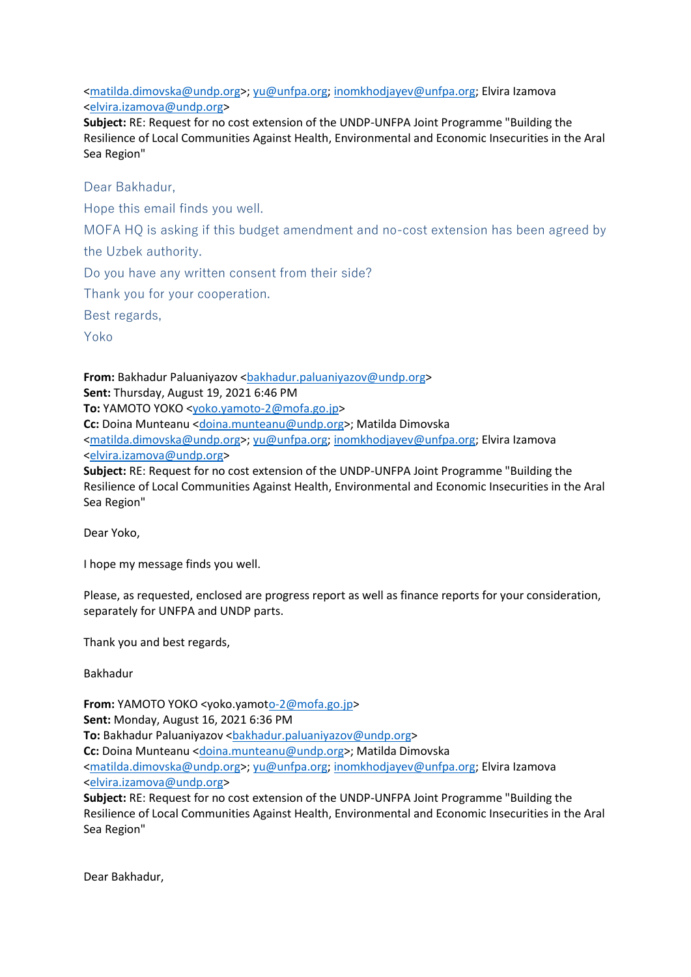[<matilda.dimovska@undp.org>](mailto:matilda.dimovska@undp.org); [yu@unfpa.org;](mailto:yu@unfpa.org) [inomkhodjayev@unfpa.org;](mailto:inomkhodjayev@unfpa.org) Elvira Izamova [<elvira.izamova@undp.org>](mailto:elvira.izamova@undp.org)

**Subject:** RE: Request for no cost extension of the UNDP-UNFPA Joint Programme "Building the Resilience of Local Communities Against Health, Environmental and Economic Insecurities in the Aral Sea Region"

Dear Bakhadur,

Hope this email finds you well.

MOFA HQ is asking if this budget amendment and no-cost extension has been agreed by the Uzbek authority.

Do you have any written consent from their side?

Thank you for your cooperation.

Best regards,

Yoko

**From:** Bakhadur Paluaniyazov <br/>bakhadur.paluaniyazov@undp.org> **Sent:** Thursday, August 19, 2021 6:46 PM **To:** YAMOTO YOKO [<yoko.yamoto-2@mofa.go.jp>](mailto:yoko.yamoto-2@mofa.go.jp) **Cc:** Doina Munteanu [<doina.munteanu@undp.org>](mailto:doina.munteanu@undp.org); Matilda Dimovska [<matilda.dimovska@undp.org>](mailto:matilda.dimovska@undp.org); [yu@unfpa.org;](mailto:yu@unfpa.org) [inomkhodjayev@unfpa.org;](mailto:inomkhodjayev@unfpa.org) Elvira Izamova [<elvira.izamova@undp.org>](mailto:elvira.izamova@undp.org) **Subject:** RE: Request for no cost extension of the UNDP-UNFPA Joint Programme "Building the

Resilience of Local Communities Against Health, Environmental and Economic Insecurities in the Aral Sea Region"

Dear Yoko,

I hope my message finds you well.

Please, as requested, enclosed are progress report as well as finance reports for your consideration, separately for UNFPA and UNDP parts.

Thank you and best regards,

Bakhadur

**From:** YAMOTO YOKO <yoko.yamo[to-2@mofa.go.jp>](mailto:o-2@mofa.go.jp) **Sent:** Monday, August 16, 2021 6:36 PM **To:** Bakhadur Paluaniyazov < bakhadur.paluaniyazov@undp.org> **Cc:** Doina Munteanu [<doina.munteanu@undp.org>](mailto:doina.munteanu@undp.org); Matilda Dimovska [<matilda.dimovska@undp.org>](mailto:matilda.dimovska@undp.org); [yu@unfpa.org;](mailto:yu@unfpa.org) [inomkhodjayev@unfpa.org;](mailto:inomkhodjayev@unfpa.org) Elvira Izamova [<elvira.izamova@undp.org>](mailto:elvira.izamova@undp.org)

**Subject:** RE: Request for no cost extension of the UNDP-UNFPA Joint Programme "Building the Resilience of Local Communities Against Health, Environmental and Economic Insecurities in the Aral Sea Region"

Dear Bakhadur,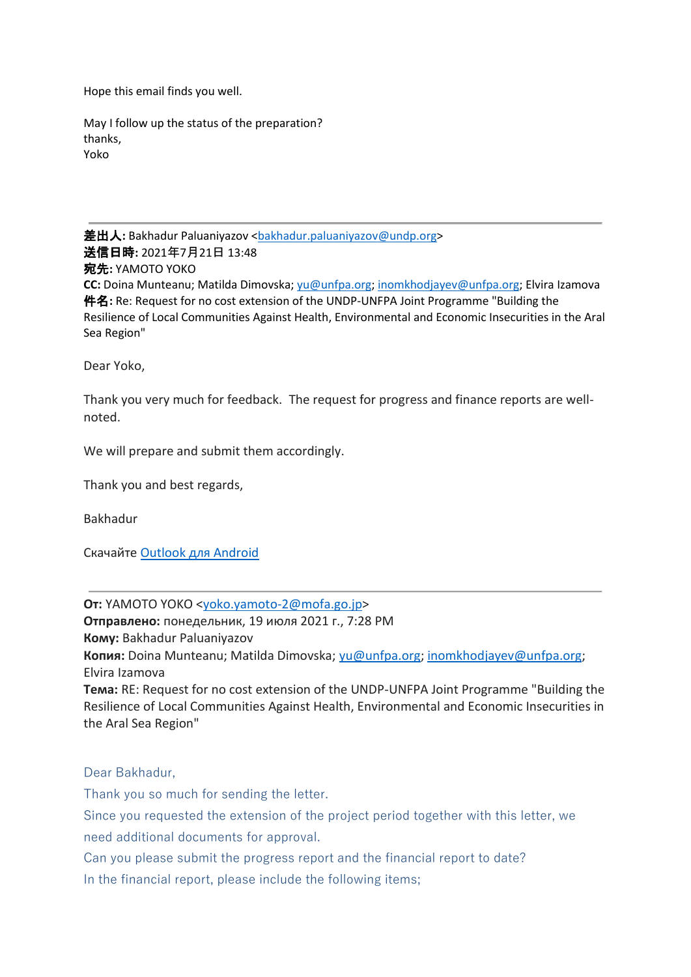Hope this email finds you well.

May I follow up the status of the preparation? thanks, Yoko

差出人: Bakhadur Paluaniyazov <br/>bakhadur.paluaniyazov@undp.org> 送信日時**:** 2021年7月21日 13:48 宛先**:** YAMOTO YOKO **CC:** Doina Munteanu; Matilda Dimovska; [yu@unfpa.org;](mailto:yu@unfpa.org) [inomkhodjayev@unfpa.org;](mailto:inomkhodjayev@unfpa.org) Elvira Izamova 件名**:** Re: Request for no cost extension of the UNDP-UNFPA Joint Programme "Building the Resilience of Local Communities Against Health, Environmental and Economic Insecurities in the Aral Sea Region"

Dear Yoko,

Thank you very much for feedback. The request for progress and finance reports are wellnoted.

We will prepare and submit them accordingly.

Thank you and best regards,

Bakhadur

Скачайте [Outlook для Android](https://eur03.safelinks.protection.outlook.com/?url=https%3A%2F%2Faka.ms%2Fghei36&data=04%7C01%7Cgulnora.ibragimova%40undp.org%7Cd9dcc35513ea4b2caa8808d9a7fa6f9a%7Cb3e5db5e2944483799f57488ace54319%7C0%7C0%7C637725516323399100%7CUnknown%7CTWFpbGZsb3d8eyJWIjoiMC4wLjAwMDAiLCJQIjoiV2luMzIiLCJBTiI6Ik1haWwiLCJXVCI6Mn0%3D%7C3000&sdata=XEYYGq9Yg320DixNAWyk8%2F%2B7imRMMFt41j5NIkctEu0%3D&reserved=0)

**От:** YAMOTO YOKO [<yoko.yamoto-2@mofa.go.jp>](mailto:yoko.yamoto-2@mofa.go.jp)

**Отправлено:** понедельник, 19 июля 2021 г., 7:28 PM

**Кому:** Bakhadur Paluaniyazov

**Копия:** Doina Munteanu; Matilda Dimovska; [yu@unfpa.org;](mailto:yu@unfpa.org) [inomkhodjayev@unfpa.org;](mailto:inomkhodjayev@unfpa.org) Elvira Izamova

**Тема:** RE: Request for no cost extension of the UNDP-UNFPA Joint Programme "Building the Resilience of Local Communities Against Health, Environmental and Economic Insecurities in the Aral Sea Region"

Dear Bakhadur,

Thank you so much for sending the letter.

Since you requested the extension of the project period together with this letter, we need additional documents for approval.

Can you please submit the progress report and the financial report to date?

In the financial report, please include the following items;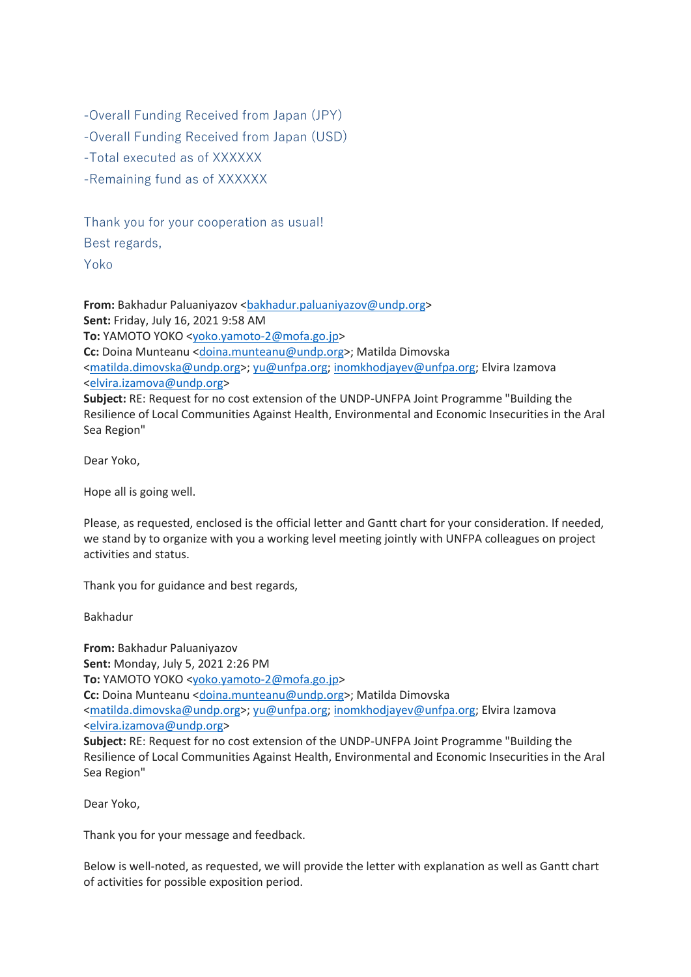-Overall Funding Received from Japan (JPY)

-Overall Funding Received from Japan (USD)

-Total executed as of XXXXXX

-Remaining fund as of XXXXXX

Thank you for your cooperation as usual! Best regards,

Yoko

**From:** Bakhadur Paluaniyazov < bakhadur.paluaniyazov@undp.org> **Sent:** Friday, July 16, 2021 9:58 AM **To:** YAMOTO YOKO [<yoko.yamoto-2@mofa.go.jp>](mailto:yoko.yamoto-2@mofa.go.jp) **Cc:** Doina Munteanu [<doina.munteanu@undp.org>](mailto:doina.munteanu@undp.org); Matilda Dimovska [<matilda.dimovska@undp.org>](mailto:matilda.dimovska@undp.org); [yu@unfpa.org;](mailto:yu@unfpa.org) [inomkhodjayev@unfpa.org;](mailto:inomkhodjayev@unfpa.org) Elvira Izamova [<elvira.izamova@undp.org>](mailto:elvira.izamova@undp.org) **Subject:** RE: Request for no cost extension of the UNDP-UNFPA Joint Programme "Building the Resilience of Local Communities Against Health, Environmental and Economic Insecurities in the Aral Sea Region"

Dear Yoko,

Hope all is going well.

Please, as requested, enclosed is the official letter and Gantt chart for your consideration. If needed, we stand by to organize with you a working level meeting jointly with UNFPA colleagues on project activities and status.

Thank you for guidance and best regards,

Bakhadur

**From:** Bakhadur Paluaniyazov **Sent:** Monday, July 5, 2021 2:26 PM **To:** YAMOTO YOKO [<yoko.yamoto-2@mofa.go.jp>](mailto:yoko.yamoto-2@mofa.go.jp) **Cc:** Doina Munteanu [<doina.munteanu@undp.org>](mailto:doina.munteanu@undp.org); Matilda Dimovska [<matilda.dimovska@undp.org>](mailto:matilda.dimovska@undp.org); [yu@unfpa.org;](mailto:yu@unfpa.org) [inomkhodjayev@unfpa.org;](mailto:inomkhodjayev@unfpa.org) Elvira Izamova [<elvira.izamova@undp.org>](mailto:elvira.izamova@undp.org) **Subject:** RE: Request for no cost extension of the UNDP-UNFPA Joint Programme "Building the

Resilience of Local Communities Against Health, Environmental and Economic Insecurities in the Aral Sea Region"

Dear Yoko,

Thank you for your message and feedback.

Below is well-noted, as requested, we will provide the letter with explanation as well as Gantt chart of activities for possible exposition period.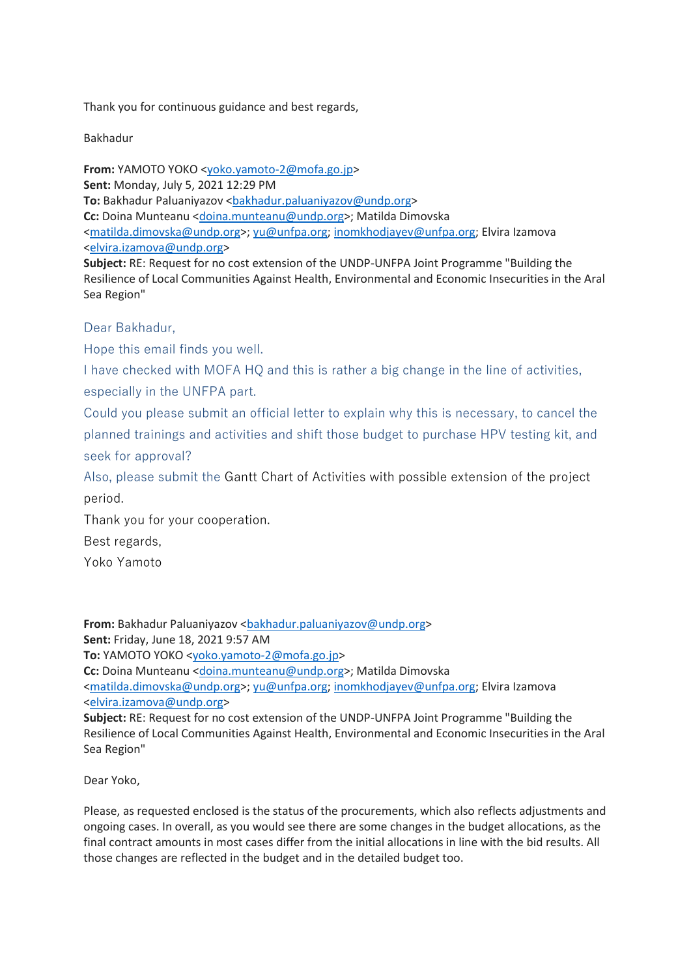Thank you for continuous guidance and best regards,

Bakhadur

**From:** YAMOTO YOKO [<yoko.yamoto-2@mofa.go.jp>](mailto:yoko.yamoto-2@mofa.go.jp) **Sent:** Monday, July 5, 2021 12:29 PM To: Bakhadur Paluaniyazov <br/>bakhadur.paluaniyazov@undp.org> **Cc:** Doina Munteanu [<doina.munteanu@undp.org>](mailto:doina.munteanu@undp.org); Matilda Dimovska [<matilda.dimovska@undp.org>](mailto:matilda.dimovska@undp.org); [yu@unfpa.org;](mailto:yu@unfpa.org) [inomkhodjayev@unfpa.org;](mailto:inomkhodjayev@unfpa.org) Elvira Izamova [<elvira.izamova@undp.org>](mailto:elvira.izamova@undp.org)

**Subject:** RE: Request for no cost extension of the UNDP-UNFPA Joint Programme "Building the Resilience of Local Communities Against Health, Environmental and Economic Insecurities in the Aral Sea Region"

Dear Bakhadur,

Hope this email finds you well.

I have checked with MOFA HQ and this is rather a big change in the line of activities, especially in the UNFPA part.

Could you please submit an official letter to explain why this is necessary, to cancel the planned trainings and activities and shift those budget to purchase HPV testing kit, and seek for approval?

Also, please submit the Gantt Chart of Activities with possible extension of the project period.

Thank you for your cooperation.

Best regards,

Yoko Yamoto

**From:** Bakhadur Paluaniyazov [<bakhadur.paluaniyazov@undp.org>](mailto:bakhadur.paluaniyazov@undp.org) **Sent:** Friday, June 18, 2021 9:57 AM **To:** YAMOTO YOKO [<yoko.yamoto-2@mofa.go.jp>](mailto:yoko.yamoto-2@mofa.go.jp) **Cc:** Doina Munteanu [<doina.munteanu@undp.org>](mailto:doina.munteanu@undp.org); Matilda Dimovska [<matilda.dimovska@undp.org>](mailto:matilda.dimovska@undp.org); [yu@unfpa.org;](mailto:yu@unfpa.org) [inomkhodjayev@unfpa.org;](mailto:inomkhodjayev@unfpa.org) Elvira Izamova [<elvira.izamova@undp.org>](mailto:elvira.izamova@undp.org) **Subject:** RE: Request for no cost extension of the UNDP-UNFPA Joint Programme "Building the Resilience of Local Communities Against Health, Environmental and Economic Insecurities in the Aral Sea Region"

Dear Yoko,

Please, as requested enclosed is the status of the procurements, which also reflects adjustments and ongoing cases. In overall, as you would see there are some changes in the budget allocations, as the final contract amounts in most cases differ from the initial allocations in line with the bid results. All those changes are reflected in the budget and in the detailed budget too.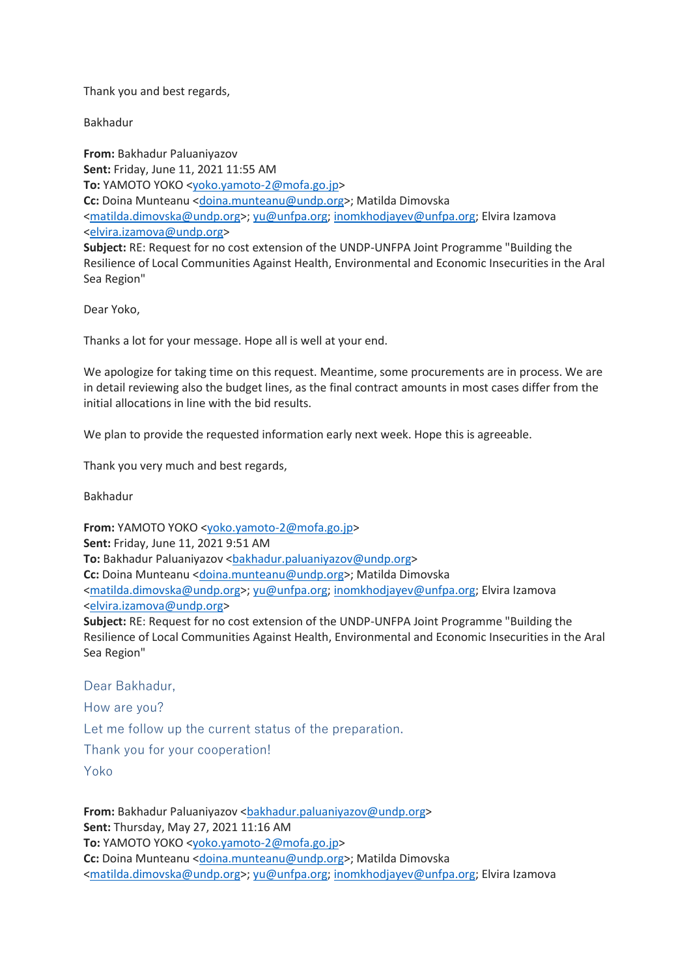Thank you and best regards,

Bakhadur

**From:** Bakhadur Paluaniyazov **Sent:** Friday, June 11, 2021 11:55 AM **To:** YAMOTO YOKO [<yoko.yamoto-2@mofa.go.jp>](mailto:yoko.yamoto-2@mofa.go.jp) **Cc:** Doina Munteanu [<doina.munteanu@undp.org>](mailto:doina.munteanu@undp.org); Matilda Dimovska [<matilda.dimovska@undp.org>](mailto:matilda.dimovska@undp.org); [yu@unfpa.org;](mailto:yu@unfpa.org) [inomkhodjayev@unfpa.org;](mailto:inomkhodjayev@unfpa.org) Elvira Izamova [<elvira.izamova@undp.org>](mailto:elvira.izamova@undp.org) **Subject:** RE: Request for no cost extension of the UNDP-UNFPA Joint Programme "Building the

Resilience of Local Communities Against Health, Environmental and Economic Insecurities in the Aral Sea Region"

Dear Yoko,

Thanks a lot for your message. Hope all is well at your end.

We apologize for taking time on this request. Meantime, some procurements are in process. We are in detail reviewing also the budget lines, as the final contract amounts in most cases differ from the initial allocations in line with the bid results.

We plan to provide the requested information early next week. Hope this is agreeable.

Thank you very much and best regards,

Bakhadur

**From:** YAMOTO YOKO [<yoko.yamoto-2@mofa.go.jp>](mailto:yoko.yamoto-2@mofa.go.jp) **Sent:** Friday, June 11, 2021 9:51 AM To: Bakhadur Paluaniyazov <br/>bakhadur.paluaniyazov@undp.org> **Cc:** Doina Munteanu [<doina.munteanu@undp.org>](mailto:doina.munteanu@undp.org); Matilda Dimovska [<matilda.dimovska@undp.org>](mailto:matilda.dimovska@undp.org); [yu@unfpa.org;](mailto:yu@unfpa.org) [inomkhodjayev@unfpa.org;](mailto:inomkhodjayev@unfpa.org) Elvira Izamova [<elvira.izamova@undp.org>](mailto:elvira.izamova@undp.org) **Subject:** RE: Request for no cost extension of the UNDP-UNFPA Joint Programme "Building the Resilience of Local Communities Against Health, Environmental and Economic Insecurities in the Aral Sea Region"

Dear Bakhadur,

How are you?

Let me follow up the current status of the preparation.

Thank you for your cooperation!

Yoko

**From:** Bakhadur Paluaniyazov < bakhadur.paluaniyazov@undp.org> **Sent:** Thursday, May 27, 2021 11:16 AM **To:** YAMOTO YOKO [<yoko.yamoto-2@mofa.go.jp>](mailto:yoko.yamoto-2@mofa.go.jp) **Cc:** Doina Munteanu [<doina.munteanu@undp.org>](mailto:doina.munteanu@undp.org); Matilda Dimovska [<matilda.dimovska@undp.org>](mailto:matilda.dimovska@undp.org); [yu@unfpa.org;](mailto:yu@unfpa.org) [inomkhodjayev@unfpa.org;](mailto:inomkhodjayev@unfpa.org) Elvira Izamova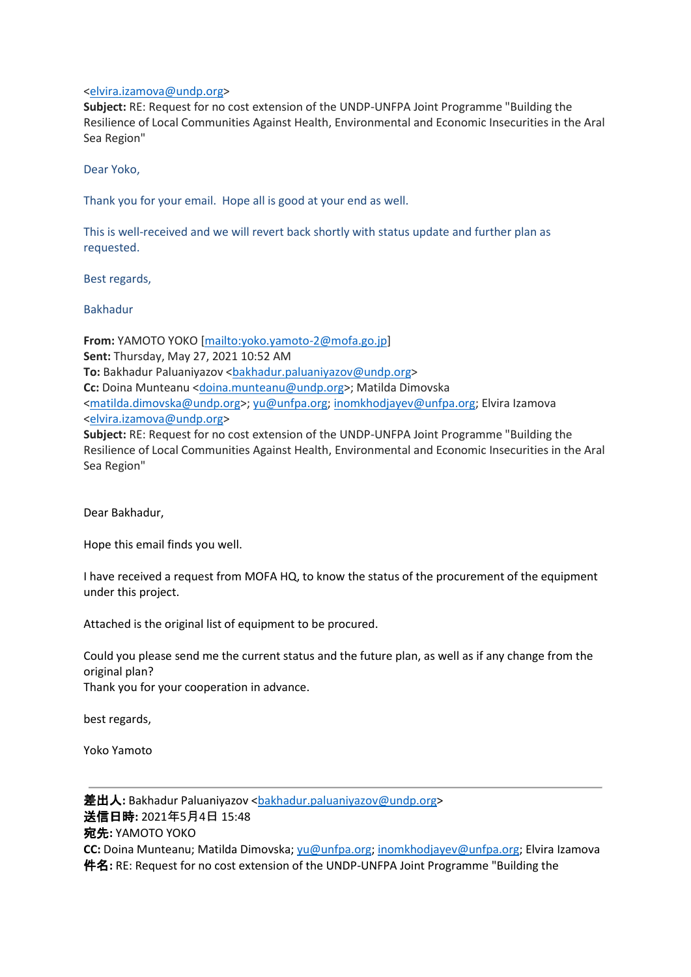## [<elvira.izamova@undp.org>](mailto:elvira.izamova@undp.org)

**Subject:** RE: Request for no cost extension of the UNDP-UNFPA Joint Programme "Building the Resilience of Local Communities Against Health, Environmental and Economic Insecurities in the Aral Sea Region"

Dear Yoko,

Thank you for your email. Hope all is good at your end as well.

This is well-received and we will revert back shortly with status update and further plan as requested.

Best regards,

Bakhadur

**From:** YAMOTO YOKO [\[mailto:yoko.yamoto-2@mofa.go.jp\]](mailto:yoko.yamoto-2@mofa.go.jp) **Sent:** Thursday, May 27, 2021 10:52 AM To: Bakhadur Paluaniyazov <br/>bakhadur.paluaniyazov@undp.org> **Cc:** Doina Munteanu [<doina.munteanu@undp.org>](mailto:doina.munteanu@undp.org); Matilda Dimovska [<matilda.dimovska@undp.org>](mailto:matilda.dimovska@undp.org); [yu@unfpa.org;](mailto:yu@unfpa.org) [inomkhodjayev@unfpa.org;](mailto:inomkhodjayev@unfpa.org) Elvira Izamova [<elvira.izamova@undp.org>](mailto:elvira.izamova@undp.org) **Subject:** RE: Request for no cost extension of the UNDP-UNFPA Joint Programme "Building the Resilience of Local Communities Against Health, Environmental and Economic Insecurities in the Aral

Dear Bakhadur,

Sea Region"

Hope this email finds you well.

I have received a request from MOFA HQ, to know the status of the procurement of the equipment under this project.

Attached is the original list of equipment to be procured.

Could you please send me the current status and the future plan, as well as if any change from the original plan? Thank you for your cooperation in advance.

best regards,

Yoko Yamoto

差出人: Bakhadur Paluaniyazov [<bakhadur.paluaniyazov@undp.org>](mailto:bakhadur.paluaniyazov@undp.org) 送信日時**:** 2021年5月4日 15:48 宛先**:** YAMOTO YOKO **CC:** Doina Munteanu; Matilda Dimovska; [yu@unfpa.org;](mailto:yu@unfpa.org) [inomkhodjayev@unfpa.org;](mailto:inomkhodjayev@unfpa.org) Elvira Izamova 件名**:** RE: Request for no cost extension of the UNDP-UNFPA Joint Programme "Building the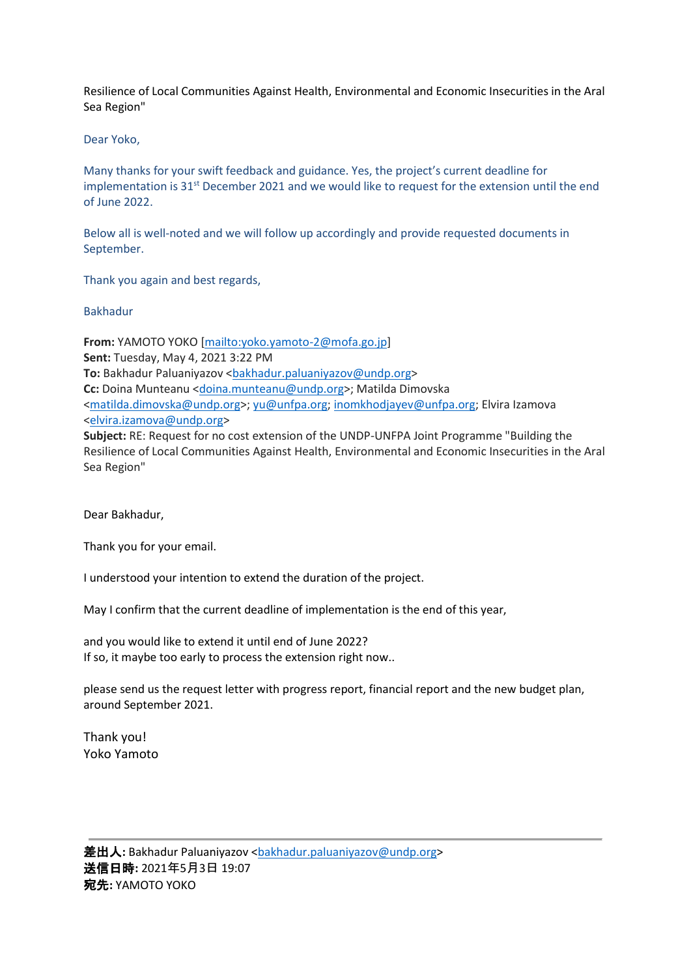Resilience of Local Communities Against Health, Environmental and Economic Insecurities in the Aral Sea Region"

## Dear Yoko,

Many thanks for your swift feedback and guidance. Yes, the project's current deadline for implementation is 31<sup>st</sup> December 2021 and we would like to request for the extension until the end of June 2022.

Below all is well-noted and we will follow up accordingly and provide requested documents in September.

Thank you again and best regards,

## Bakhadur

**From:** YAMOTO YOKO [\[mailto:yoko.yamoto-2@mofa.go.jp\]](mailto:yoko.yamoto-2@mofa.go.jp) **Sent:** Tuesday, May 4, 2021 3:22 PM To: Bakhadur Paluaniyazov <br />
stakhadur.paluaniyazov@undp.org> **Cc:** Doina Munteanu [<doina.munteanu@undp.org>](mailto:doina.munteanu@undp.org); Matilda Dimovska [<matilda.dimovska@undp.org>](mailto:matilda.dimovska@undp.org); [yu@unfpa.org;](mailto:yu@unfpa.org) [inomkhodjayev@unfpa.org;](mailto:inomkhodjayev@unfpa.org) Elvira Izamova [<elvira.izamova@undp.org>](mailto:elvira.izamova@undp.org) **Subject:** RE: Request for no cost extension of the UNDP-UNFPA Joint Programme "Building the Resilience of Local Communities Against Health, Environmental and Economic Insecurities in the Aral Sea Region"

Dear Bakhadur,

Thank you for your email.

I understood your intention to extend the duration of the project.

May I confirm that the current deadline of implementation is the end of this year,

and you would like to extend it until end of June 2022? If so, it maybe too early to process the extension right now..

please send us the request letter with progress report, financial report and the new budget plan, around September 2021.

Thank you! Yoko Yamoto